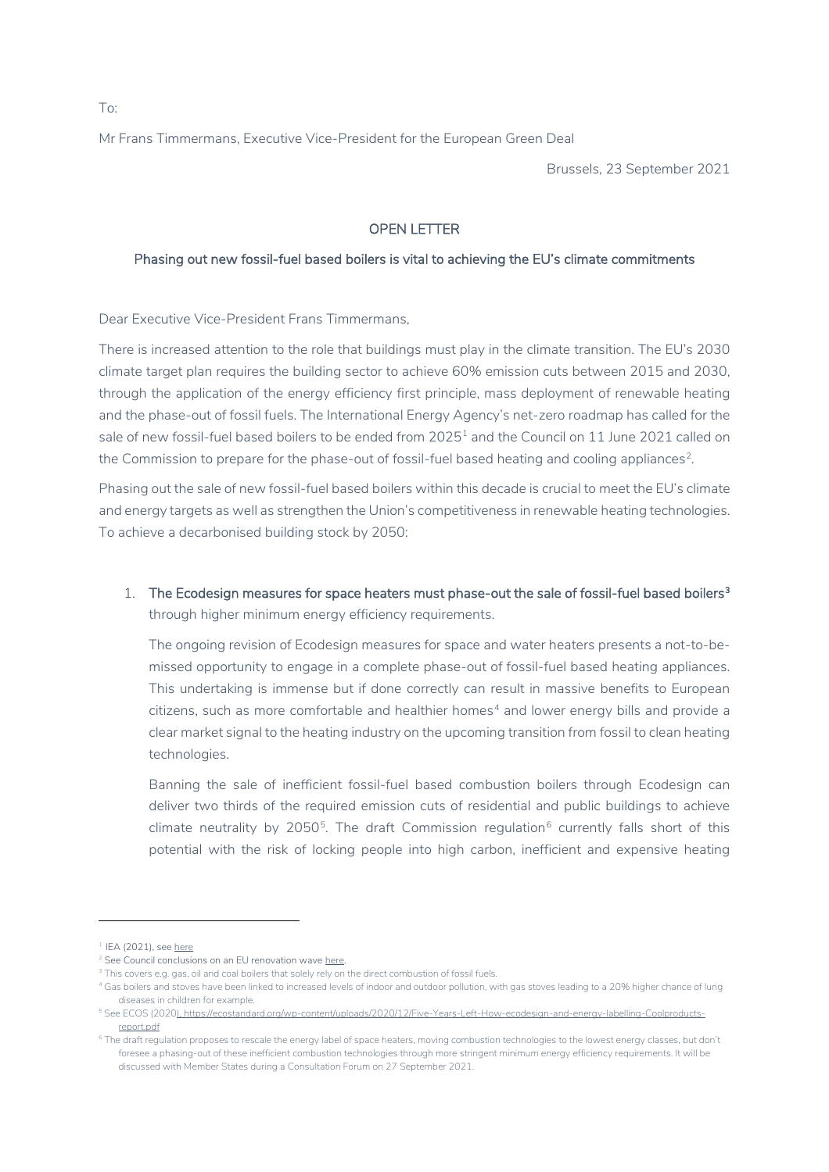Mr Frans Timmermans, Executive Vice-President for the European Green Deal

Brussels, 23 September 2021

## OPEN LETTER

## Phasing out new fossil-fuel based boilers is vital to achieving the EU's climate commitments

Dear Executive Vice-President Frans Timmermans,

There is increased attention to the role that buildings must play in the climate transition. The EU's 2030 climate target plan requires the building sector to achieve 60% emission cuts between 2015 and 2030, through the application of the energy efficiency first principle, mass deployment of renewable heating and the phase-out of fossil fuels. The International Energy Agency's net-zero roadmap has called for the sale of new fossil-fuel based boilers to be ended from 2025<sup>[1](#page-0-0)</sup> and the Council on 11 June 2021 called on the Commission to prepare for the phase-out of fossil-fuel based heating and cooling appliances<sup>[2](#page-0-1)</sup>.

Phasing out the sale of new fossil-fuel based boilers within this decade is crucial to meet the EU's climate and energy targets as well as strengthen the Union's competitiveness in renewable heating technologies. To achieve a decarbonised building stock by 2050:

1. The Ecodesign measures for space heaters must phase-out the sale of fossil-fuel based boilers<sup>3</sup> through higher minimum energy efficiency requirements.

The ongoing revision of Ecodesign measures for space and water heaters presents a not-to-bemissed opportunity to engage in a complete phase-out of fossil-fuel based heating appliances. This undertaking is immense but if done correctly can result in massive benefits to European  $c$ itizens, such as more comfortable and healthier homes $4$  and lower energy bills and provide a clear market signal to the heating industry on the upcoming transition from fossil to clean heating technologies.

Banning the sale of inefficient fossil-fuel based combustion boilers through Ecodesign can deliver two thirds of the required emission cuts of residential and public buildings to achieve climate neutrality by 2050<sup>5</sup>. The draft Commission regulation<sup>[6](#page-0-5)</sup> currently falls short of this potential with the risk of locking people into high carbon, inefficient and expensive heating

To:

<span id="page-0-0"></span> $1$  IEA (2021), se[e here](https://www.iea.org/reports/net-zero-by-2050)

<span id="page-0-2"></span><span id="page-0-1"></span> $2$  See Council conclusions on an EU renovation wav[e here.](https://www.consilium.europa.eu/en/press/press-releases/2021/06/11/council-approves-conclusions-on-an-eu-renovation-wave/)

<sup>&</sup>lt;sup>3</sup> This covers e.g. gas, oil and coal boilers that solely rely on the direct combustion of fossil fuels.

<span id="page-0-3"></span><sup>4</sup> Gas boilers and stoves have been linked to increased levels of indoor and outdoor pollution, with gas stoves leading to a 20% higher chance of lung diseases in children for example.

<span id="page-0-4"></span><sup>5</sup> See ECOS (2020)[, https://ecostandard.org/wp-content/uploads/2020/12/Five-Years-Left-How-ecodesign-and-energy-labelling-Coolproducts](https://ecostandard.org/wp-content/uploads/2020/12/Five-Years-Left-How-ecodesign-and-energy-labelling-Coolproducts-report.pdf)[report.pdf](https://ecostandard.org/wp-content/uploads/2020/12/Five-Years-Left-How-ecodesign-and-energy-labelling-Coolproducts-report.pdf)

<span id="page-0-5"></span><sup>&</sup>lt;sup>6</sup> The draft regulation proposes to rescale the energy label of space heaters, moving combustion technologies to the lowest energy classes, but don't foresee a phasing-out of these inefficient combustion technologies through more stringent minimum energy efficiency requirements. It will be discussed with Member States during a Consultation Forum on 27 September 2021.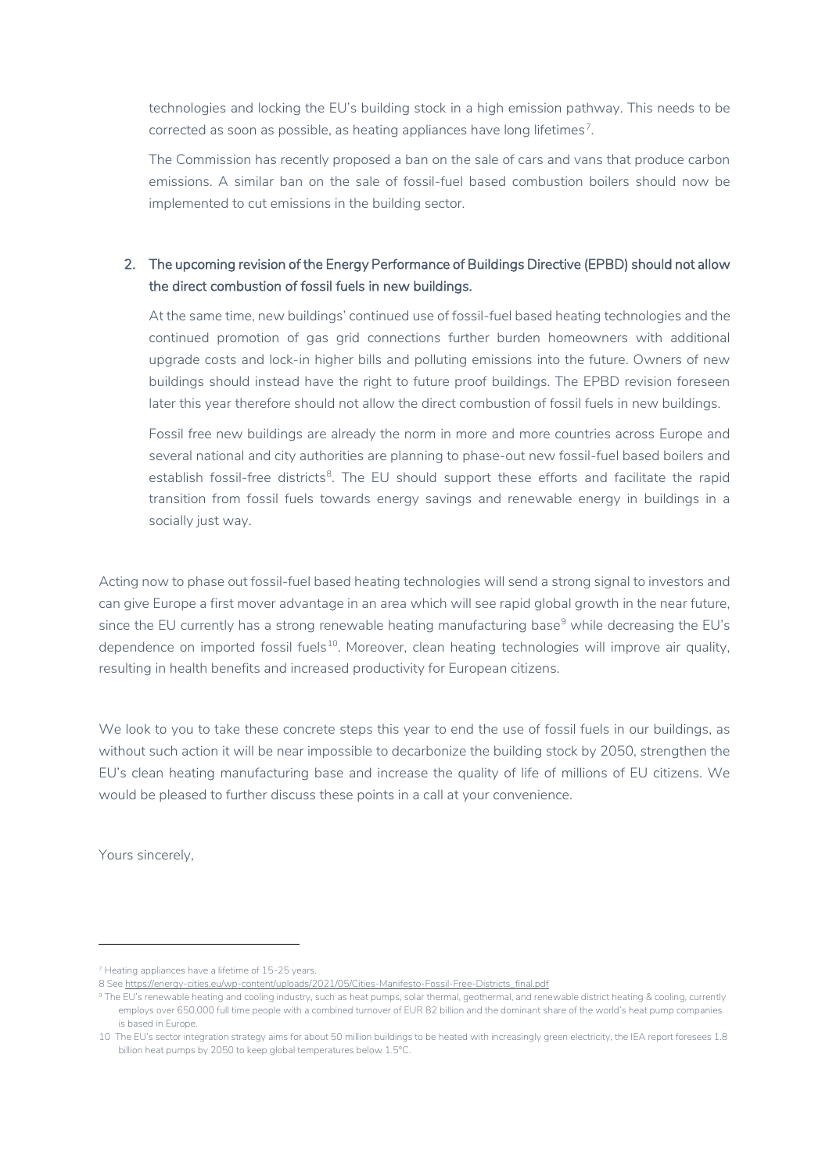technologies and locking the EU's building stock in a high emission pathway. This needs to be corrected as soon as possible, as heating appliances have long lifetimes<sup>[7](#page-1-0)</sup>.

The Commission has recently proposed a ban on the sale of cars and vans that produce carbon emissions. A similar ban on the sale of fossil-fuel based combustion boilers should now be implemented to cut emissions in the building sector.

## 2. The upcoming revision of the Energy Performance of Buildings Directive (EPBD) should not allow the direct combustion of fossil fuels in new buildings.

At the same time, new buildings' continued use of fossil-fuel based heating technologies and the continued promotion of gas grid connections further burden homeowners with additional upgrade costs and lock-in higher bills and polluting emissions into the future. Owners of new buildings should instead have the right to future proof buildings. The EPBD revision foreseen later this year therefore should not allow the direct combustion of fossil fuels in new buildings.

Fossil free new buildings are already the norm in more and more countries across Europe and several national and city authorities are planning to phase-out new fossil-fuel based boilers and establish fossil-free districts<sup>[8](#page-1-1)</sup>. The EU should support these efforts and facilitate the rapid transition from fossil fuels towards energy savings and renewable energy in buildings in a socially just way.

Acting now to phase out fossil-fuel based heating technologies will send a strong signal to investors and can give Europe a first mover advantage in an area which will see rapid global growth in the near future, since the EU currently has a strong renewable heating manufacturing base<sup>[9](#page-1-2)</sup> while decreasing the EU's dependence on imported fossil fuels<sup>[10](#page-1-3)</sup>. Moreover, clean heating technologies will improve air quality, resulting in health benefits and increased productivity for European citizens.

We look to you to take these concrete steps this year to end the use of fossil fuels in our buildings, as without such action it will be near impossible to decarbonize the building stock by 2050, strengthen the EU's clean heating manufacturing base and increase the quality of life of millions of EU citizens. We would be pleased to further discuss these points in a call at your convenience.

Yours sincerely,

<span id="page-1-0"></span><sup>&</sup>lt;sup>7</sup> Heating appliances have a lifetime of 15-25 years.

<span id="page-1-2"></span><span id="page-1-1"></span><sup>8</sup> Se[e https://energy-cities.eu/wp-content/uploads/2021/05/Cities-Manifesto-Fossil-Free-Districts\\_final.pdf](https://energy-cities.eu/wp-content/uploads/2021/05/Cities-Manifesto-Fossil-Free-Districts_final.pdf)

<sup>&</sup>lt;sup>9</sup> The EU's renewable heating and cooling industry, such as heat pumps, solar thermal, geothermal, and renewable district heating & cooling, currently employs over 650,000 full time people with a combined turnover of EUR 82 billion and the dominant share of the world's heat pump companies is based in Europe.

<span id="page-1-3"></span><sup>10</sup> The EU's sector integration strategy aims for about 50 million buildings to be heated with increasingly green electricity, the IEA report foresees 1.8 billion heat pumps by 2050 to keep global temperatures below 1.5°C.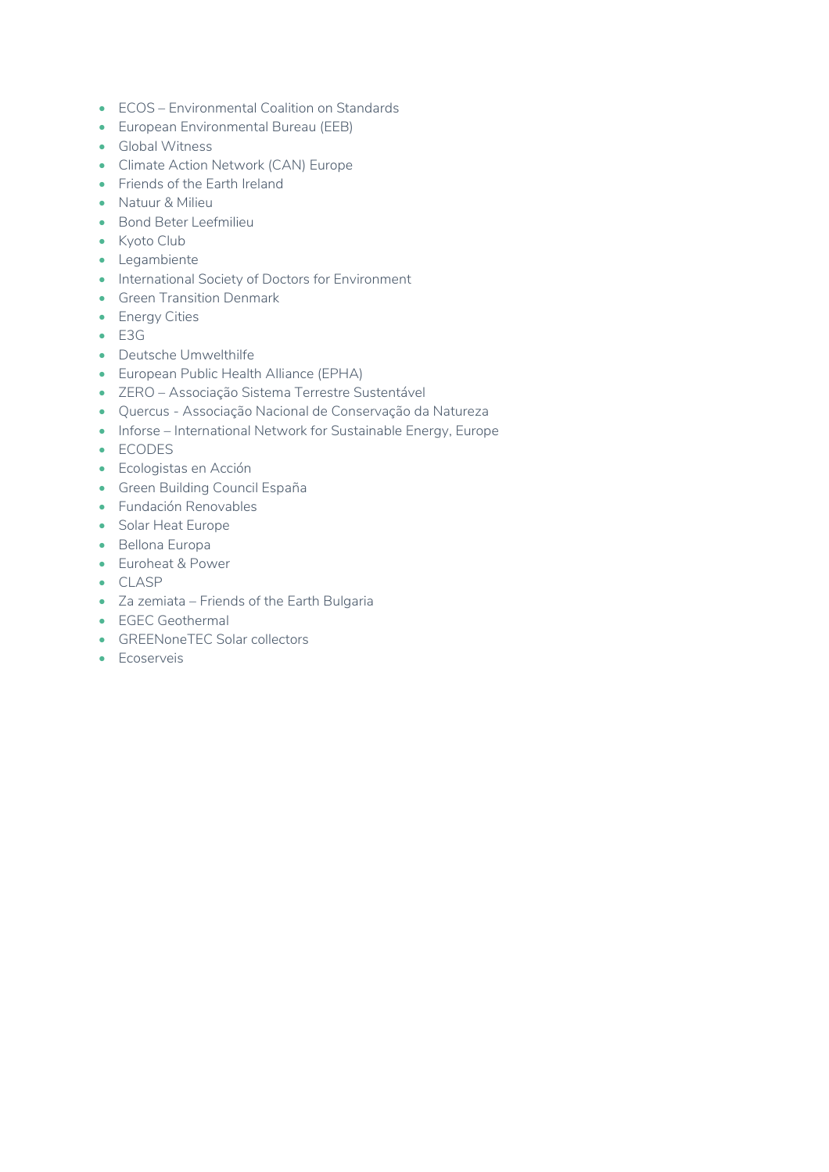- ECOS Environmental Coalition on Standards
- European Environmental Bureau (EEB)
- Global Witness
- Climate Action Network (CAN) Europe
- Friends of the Earth Ireland
- Natuur & Milieu
- Bond Beter Leefmilieu
- Kyoto Club
- Legambiente
- International Society of Doctors for Environment
- Green Transition Denmark
- Energy Cities
- E3G
- Deutsche Umwelthilfe
- European Public Health Alliance (EPHA)
- ZERO [Associação Sistema Terrestre Sustentável](https://zero.ong/)
- Quercus Associação Nacional de Conservação da Natureza
- Inforse International Network for Sustainable Energy, Europe
- ECODES
- Ecologistas en Acción
- Green Building Council España
- Fundación Renovables
- Solar Heat Europe
- Bellona Europa
- Euroheat & Power
- CLASP
- Za zemiata Friends of the Earth Bulgaria
- EGEC Geothermal
- GREENoneTEC Solar collectors
- Ecoserveis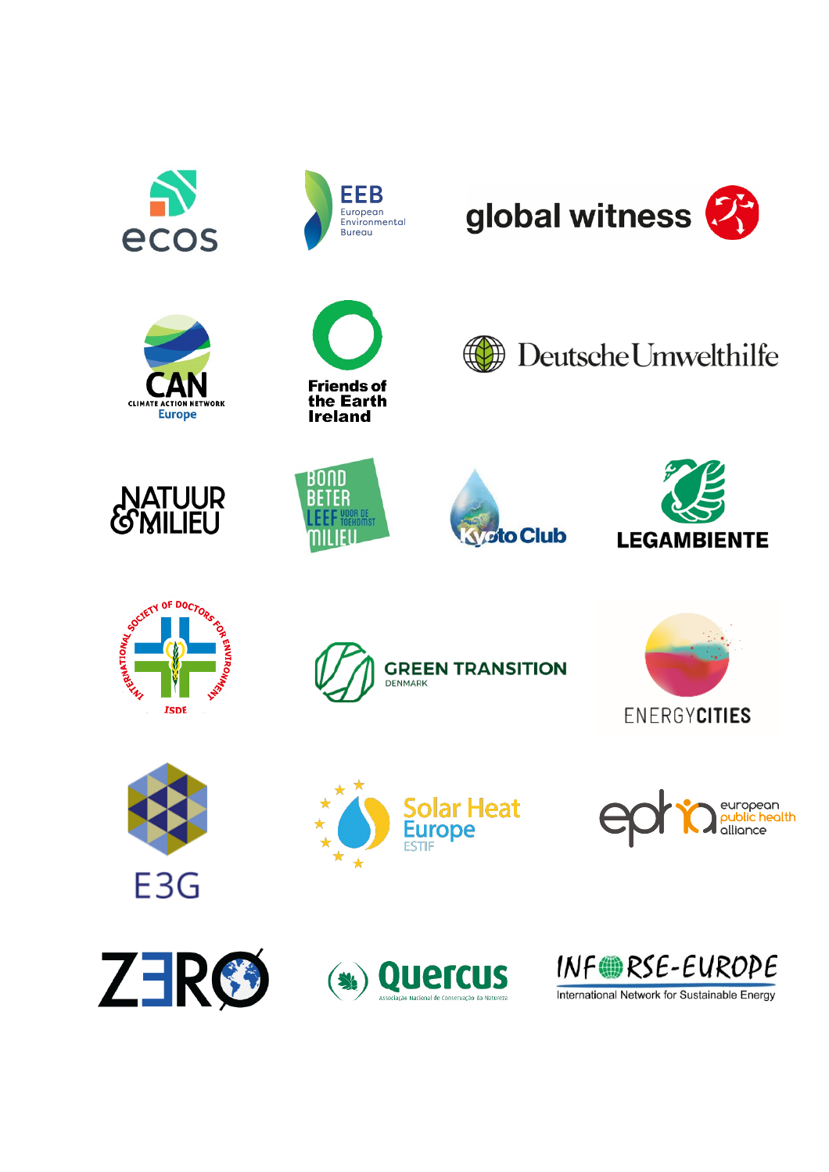







global witness  $\boldsymbol{Z}$ 































International Network for Sustainable Energy